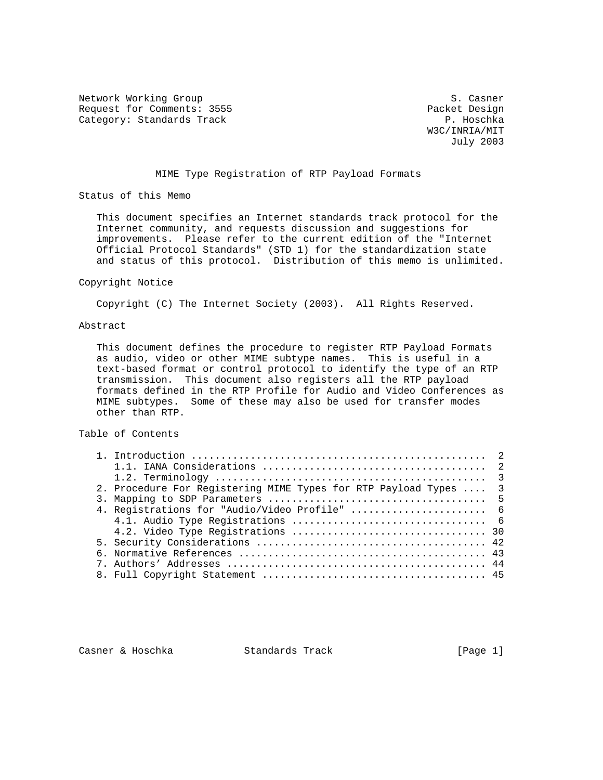Network Working Group S. Casner Request for Comments: 3555 Packet Design<br>
Category: Standards Track Category: Standards Track

 W3C/INRIA/MIT July 2003

## MIME Type Registration of RTP Payload Formats

Status of this Memo

 This document specifies an Internet standards track protocol for the Internet community, and requests discussion and suggestions for improvements. Please refer to the current edition of the "Internet Official Protocol Standards" (STD 1) for the standardization state and status of this protocol. Distribution of this memo is unlimited.

#### Copyright Notice

Copyright (C) The Internet Society (2003). All Rights Reserved.

#### Abstract

 This document defines the procedure to register RTP Payload Formats as audio, video or other MIME subtype names. This is useful in a text-based format or control protocol to identify the type of an RTP transmission. This document also registers all the RTP payload formats defined in the RTP Profile for Audio and Video Conferences as MIME subtypes. Some of these may also be used for transfer modes other than RTP.

### Table of Contents

| 2. Procedure For Registering MIME Types for RTP Payload Types  3 |  |
|------------------------------------------------------------------|--|
|                                                                  |  |
| 4. Registrations for "Audio/Video Profile"  6                    |  |
|                                                                  |  |
|                                                                  |  |
|                                                                  |  |
|                                                                  |  |
|                                                                  |  |
|                                                                  |  |

Casner & Hoschka Standards Track [Page 1]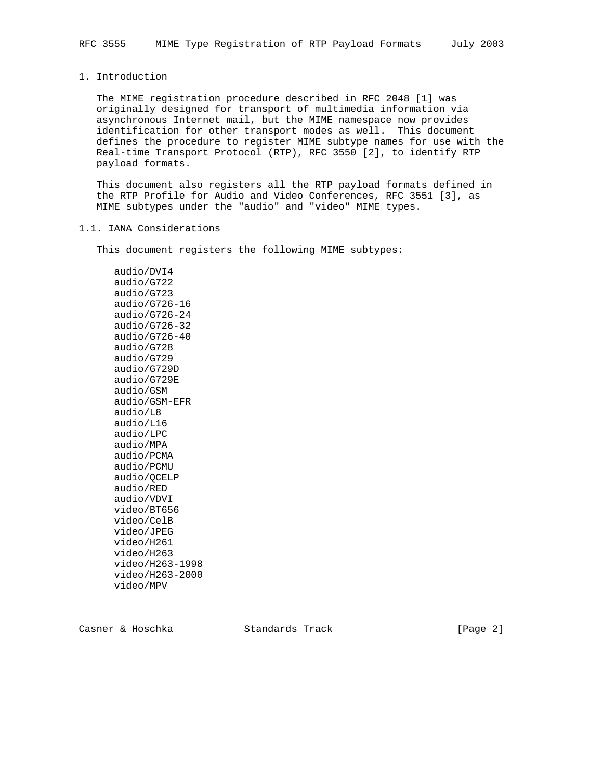# 1. Introduction

 The MIME registration procedure described in RFC 2048 [1] was originally designed for transport of multimedia information via asynchronous Internet mail, but the MIME namespace now provides identification for other transport modes as well. This document defines the procedure to register MIME subtype names for use with the Real-time Transport Protocol (RTP), RFC 3550 [2], to identify RTP payload formats.

 This document also registers all the RTP payload formats defined in the RTP Profile for Audio and Video Conferences, RFC 3551 [3], as MIME subtypes under the "audio" and "video" MIME types.

### 1.1. IANA Considerations

This document registers the following MIME subtypes:

 audio/DVI4 audio/G722 audio/G723 audio/G726-16 audio/G726-24 audio/G726-32 audio/G726-40 audio/G728 audio/G729 audio/G729D audio/G729E audio/GSM audio/GSM-EFR audio/L8 audio/L16 audio/LPC audio/MPA audio/PCMA audio/PCMU audio/QCELP audio/RED audio/VDVI video/BT656 video/CelB video/JPEG video/H261 video/H263 video/H263-1998 video/H263-2000 video/MPV

Casner & Hoschka Standards Track [Page 2]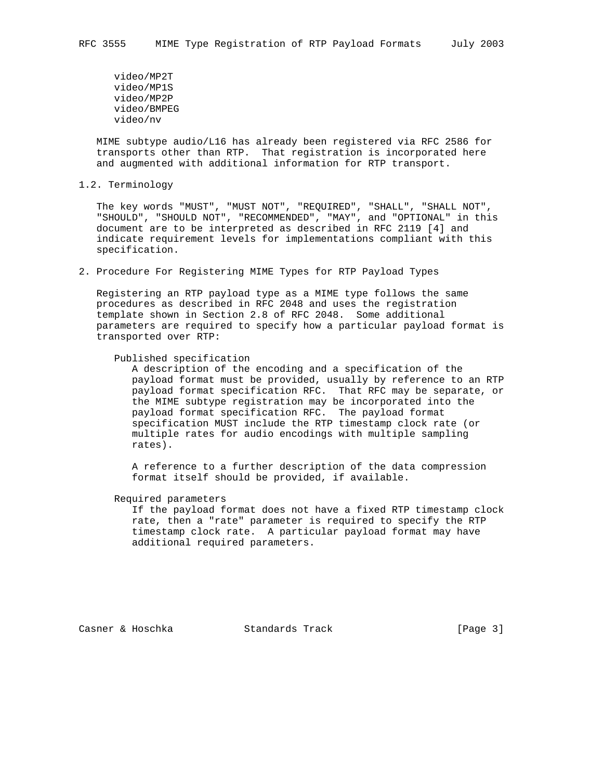video/MP2T video/MP1S video/MP2P video/BMPEG video/nv

 MIME subtype audio/L16 has already been registered via RFC 2586 for transports other than RTP. That registration is incorporated here and augmented with additional information for RTP transport.

1.2. Terminology

 The key words "MUST", "MUST NOT", "REQUIRED", "SHALL", "SHALL NOT", "SHOULD", "SHOULD NOT", "RECOMMENDED", "MAY", and "OPTIONAL" in this document are to be interpreted as described in RFC 2119 [4] and indicate requirement levels for implementations compliant with this specification.

2. Procedure For Registering MIME Types for RTP Payload Types

 Registering an RTP payload type as a MIME type follows the same procedures as described in RFC 2048 and uses the registration template shown in Section 2.8 of RFC 2048. Some additional parameters are required to specify how a particular payload format is transported over RTP:

Published specification

 A description of the encoding and a specification of the payload format must be provided, usually by reference to an RTP payload format specification RFC. That RFC may be separate, or the MIME subtype registration may be incorporated into the payload format specification RFC. The payload format specification MUST include the RTP timestamp clock rate (or multiple rates for audio encodings with multiple sampling rates).

 A reference to a further description of the data compression format itself should be provided, if available.

Required parameters

 If the payload format does not have a fixed RTP timestamp clock rate, then a "rate" parameter is required to specify the RTP timestamp clock rate. A particular payload format may have additional required parameters.

Casner & Hoschka Standards Track [Page 3]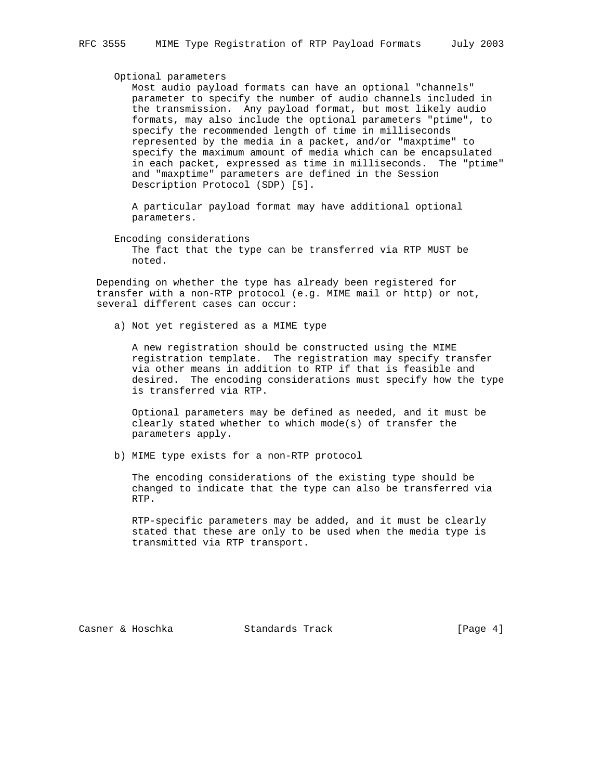#### Optional parameters

 Most audio payload formats can have an optional "channels" parameter to specify the number of audio channels included in the transmission. Any payload format, but most likely audio formats, may also include the optional parameters "ptime", to specify the recommended length of time in milliseconds represented by the media in a packet, and/or "maxptime" to specify the maximum amount of media which can be encapsulated in each packet, expressed as time in milliseconds. The "ptime" and "maxptime" parameters are defined in the Session Description Protocol (SDP) [5].

 A particular payload format may have additional optional parameters.

 Encoding considerations The fact that the type can be transferred via RTP MUST be noted.

 Depending on whether the type has already been registered for transfer with a non-RTP protocol (e.g. MIME mail or http) or not, several different cases can occur:

a) Not yet registered as a MIME type

 A new registration should be constructed using the MIME registration template. The registration may specify transfer via other means in addition to RTP if that is feasible and desired. The encoding considerations must specify how the type is transferred via RTP.

 Optional parameters may be defined as needed, and it must be clearly stated whether to which mode(s) of transfer the parameters apply.

b) MIME type exists for a non-RTP protocol

 The encoding considerations of the existing type should be changed to indicate that the type can also be transferred via RTP.

 RTP-specific parameters may be added, and it must be clearly stated that these are only to be used when the media type is transmitted via RTP transport.

Casner & Hoschka Standards Track [Page 4]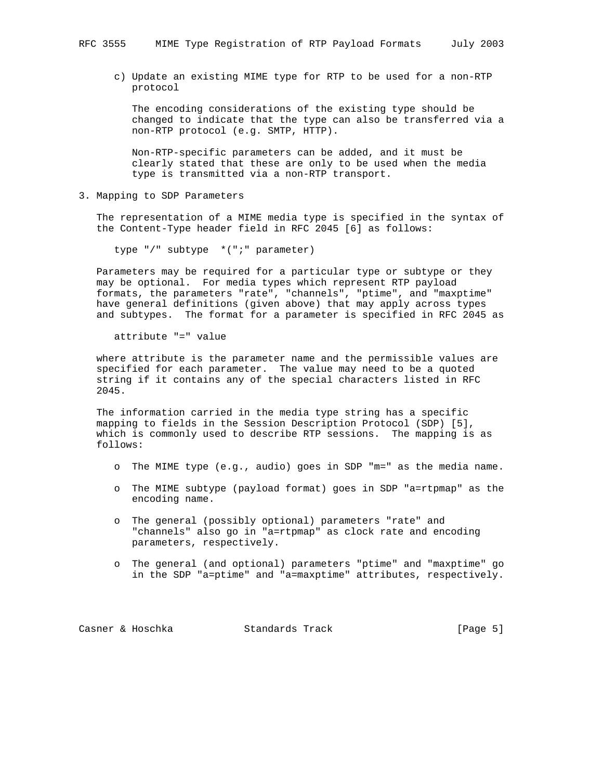c) Update an existing MIME type for RTP to be used for a non-RTP protocol

 The encoding considerations of the existing type should be changed to indicate that the type can also be transferred via a non-RTP protocol (e.g. SMTP, HTTP).

 Non-RTP-specific parameters can be added, and it must be clearly stated that these are only to be used when the media type is transmitted via a non-RTP transport.

3. Mapping to SDP Parameters

 The representation of a MIME media type is specified in the syntax of the Content-Type header field in RFC 2045 [6] as follows:

type "/" subtype \*(";" parameter)

 Parameters may be required for a particular type or subtype or they may be optional. For media types which represent RTP payload formats, the parameters "rate", "channels", "ptime", and "maxptime" have general definitions (given above) that may apply across types and subtypes. The format for a parameter is specified in RFC 2045 as

attribute "=" value

 where attribute is the parameter name and the permissible values are specified for each parameter. The value may need to be a quoted string if it contains any of the special characters listed in RFC 2045.

 The information carried in the media type string has a specific mapping to fields in the Session Description Protocol (SDP) [5], which is commonly used to describe RTP sessions. The mapping is as follows:

- o The MIME type (e.g., audio) goes in SDP "m=" as the media name.
- o The MIME subtype (payload format) goes in SDP "a=rtpmap" as the encoding name.
- o The general (possibly optional) parameters "rate" and "channels" also go in "a=rtpmap" as clock rate and encoding parameters, respectively.
- o The general (and optional) parameters "ptime" and "maxptime" go in the SDP "a=ptime" and "a=maxptime" attributes, respectively.

Casner & Hoschka Standards Track [Page 5]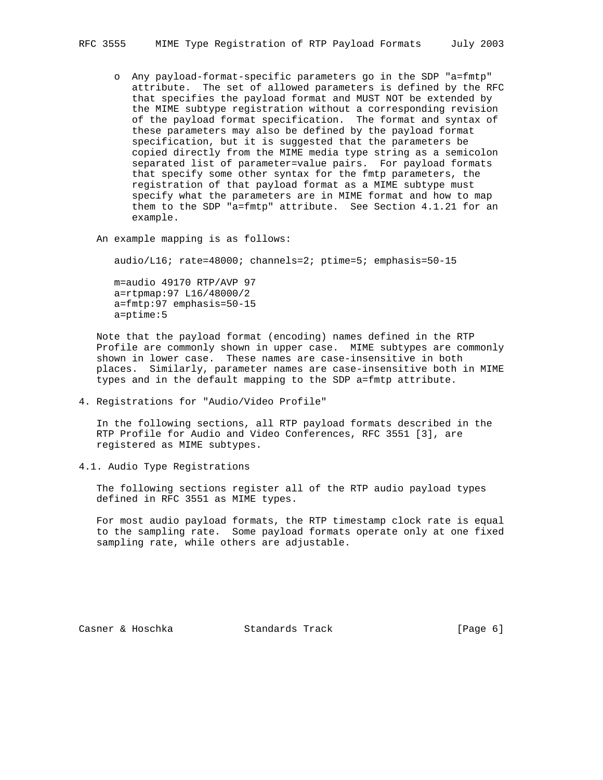- o Any payload-format-specific parameters go in the SDP "a=fmtp" attribute. The set of allowed parameters is defined by the RFC that specifies the payload format and MUST NOT be extended by the MIME subtype registration without a corresponding revision of the payload format specification. The format and syntax of these parameters may also be defined by the payload format specification, but it is suggested that the parameters be copied directly from the MIME media type string as a semicolon separated list of parameter=value pairs. For payload formats that specify some other syntax for the fmtp parameters, the registration of that payload format as a MIME subtype must specify what the parameters are in MIME format and how to map them to the SDP "a=fmtp" attribute. See Section 4.1.21 for an example.
- An example mapping is as follows:

audio/L16; rate=48000; channels=2; ptime=5; emphasis=50-15

 m=audio 49170 RTP/AVP 97 a=rtpmap:97 L16/48000/2 a=fmtp:97 emphasis=50-15 a=ptime:5

 Note that the payload format (encoding) names defined in the RTP Profile are commonly shown in upper case. MIME subtypes are commonly shown in lower case. These names are case-insensitive in both places. Similarly, parameter names are case-insensitive both in MIME types and in the default mapping to the SDP a=fmtp attribute.

4. Registrations for "Audio/Video Profile"

 In the following sections, all RTP payload formats described in the RTP Profile for Audio and Video Conferences, RFC 3551 [3], are registered as MIME subtypes.

4.1. Audio Type Registrations

 The following sections register all of the RTP audio payload types defined in RFC 3551 as MIME types.

 For most audio payload formats, the RTP timestamp clock rate is equal to the sampling rate. Some payload formats operate only at one fixed sampling rate, while others are adjustable.

Casner & Hoschka Standards Track [Page 6]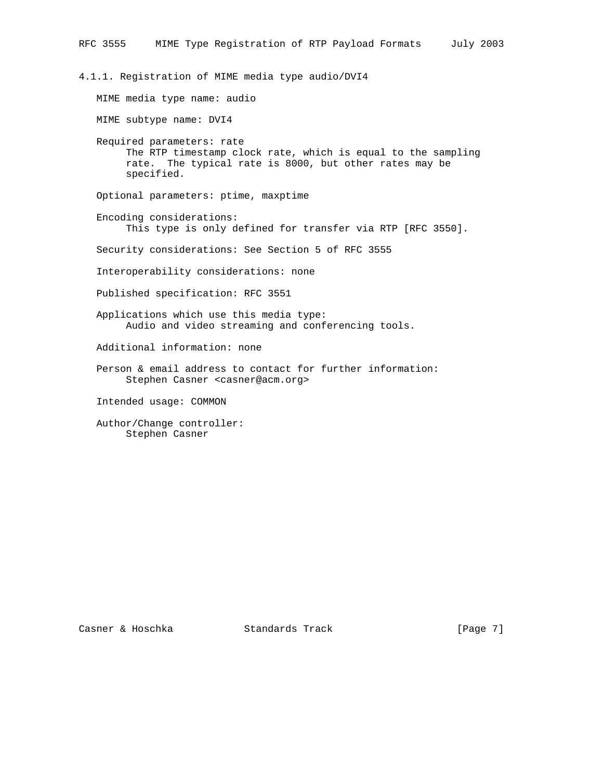4.1.1. Registration of MIME media type audio/DVI4 MIME media type name: audio MIME subtype name: DVI4 Required parameters: rate The RTP timestamp clock rate, which is equal to the sampling rate. The typical rate is 8000, but other rates may be specified. Optional parameters: ptime, maxptime Encoding considerations: This type is only defined for transfer via RTP [RFC 3550]. Security considerations: See Section 5 of RFC 3555 Interoperability considerations: none Published specification: RFC 3551 Applications which use this media type: Audio and video streaming and conferencing tools. Additional information: none Person & email address to contact for further information: Stephen Casner <casner@acm.org> Intended usage: COMMON Author/Change controller: Stephen Casner

Casner & Hoschka Standards Track [Page 7]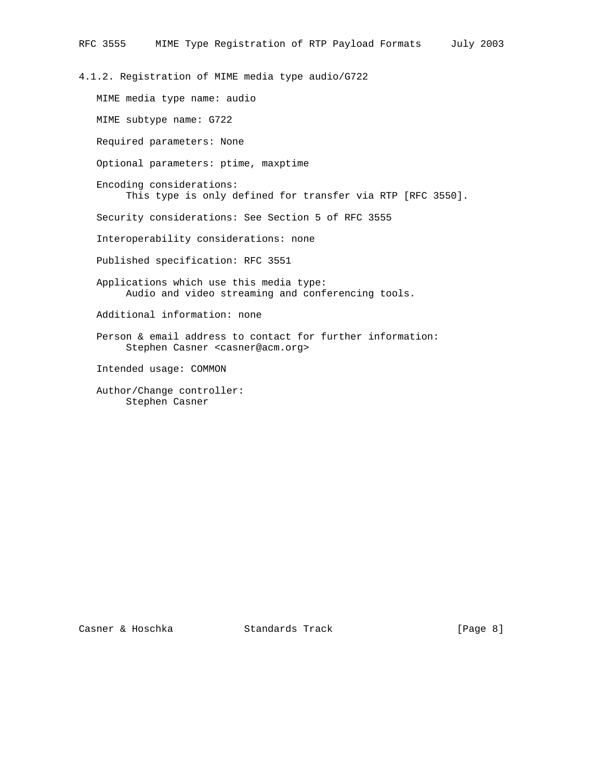4.1.2. Registration of MIME media type audio/G722

 MIME media type name: audio MIME subtype name: G722 Required parameters: None Optional parameters: ptime, maxptime Encoding considerations: This type is only defined for transfer via RTP [RFC 3550]. Security considerations: See Section 5 of RFC 3555 Interoperability considerations: none Published specification: RFC 3551 Applications which use this media type: Audio and video streaming and conferencing tools. Additional information: none Person & email address to contact for further information: Stephen Casner <casner@acm.org> Intended usage: COMMON Author/Change controller: Stephen Casner

Casner & Hoschka Standards Track [Page 8]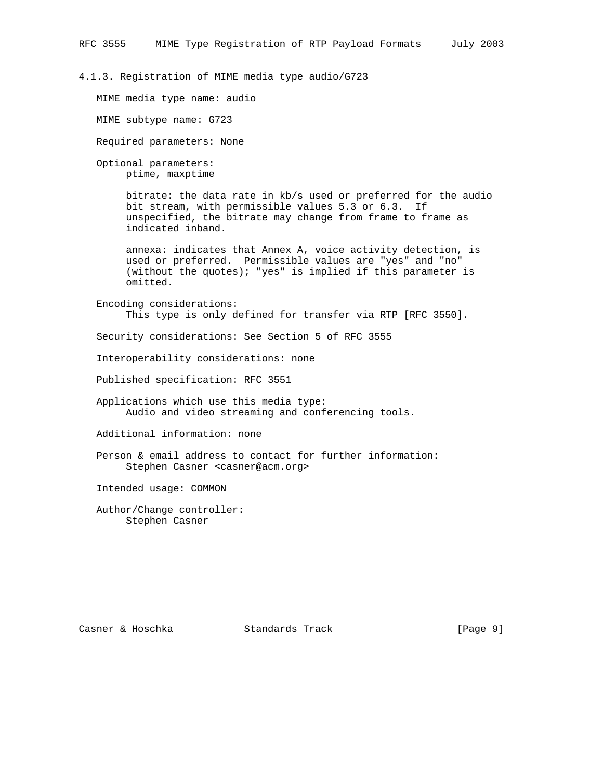# 4.1.3. Registration of MIME media type audio/G723

MIME media type name: audio

MIME subtype name: G723

Required parameters: None

 Optional parameters: ptime, maxptime

> bitrate: the data rate in kb/s used or preferred for the audio bit stream, with permissible values 5.3 or 6.3. If unspecified, the bitrate may change from frame to frame as indicated inband.

 annexa: indicates that Annex A, voice activity detection, is used or preferred. Permissible values are "yes" and "no" (without the quotes); "yes" is implied if this parameter is omitted.

 Encoding considerations: This type is only defined for transfer via RTP [RFC 3550].

Security considerations: See Section 5 of RFC 3555

Interoperability considerations: none

Published specification: RFC 3551

 Applications which use this media type: Audio and video streaming and conferencing tools.

Additional information: none

 Person & email address to contact for further information: Stephen Casner <casner@acm.org>

Intended usage: COMMON

 Author/Change controller: Stephen Casner

Casner & Hoschka Standards Track [Page 9]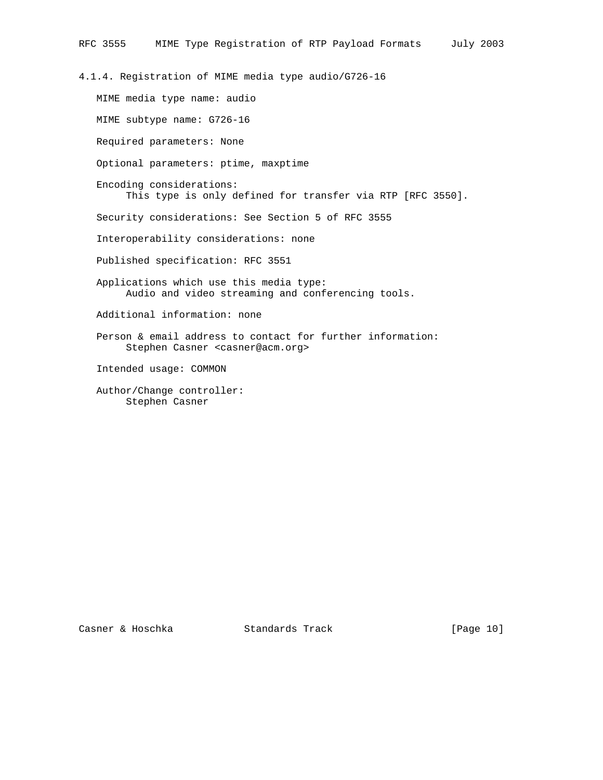4.1.4. Registration of MIME media type audio/G726-16

 MIME media type name: audio MIME subtype name: G726-16 Required parameters: None Optional parameters: ptime, maxptime Encoding considerations: This type is only defined for transfer via RTP [RFC 3550]. Security considerations: See Section 5 of RFC 3555 Interoperability considerations: none Published specification: RFC 3551 Applications which use this media type: Audio and video streaming and conferencing tools. Additional information: none Person & email address to contact for further information: Stephen Casner <casner@acm.org> Intended usage: COMMON Author/Change controller: Stephen Casner

Casner & Hoschka Standards Track [Page 10]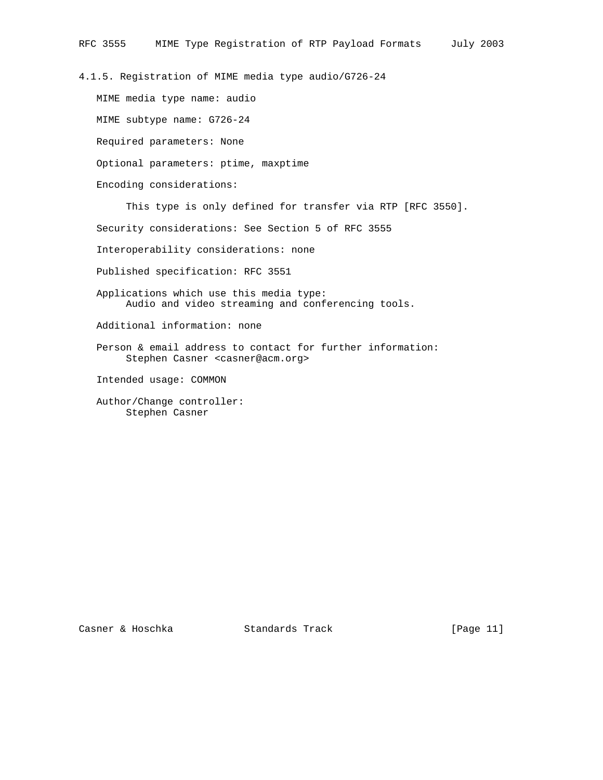4.1.5. Registration of MIME media type audio/G726-24

 MIME media type name: audio MIME subtype name: G726-24 Required parameters: None Optional parameters: ptime, maxptime Encoding considerations: This type is only defined for transfer via RTP [RFC 3550]. Security considerations: See Section 5 of RFC 3555

Interoperability considerations: none

Published specification: RFC 3551

 Applications which use this media type: Audio and video streaming and conferencing tools.

Additional information: none

 Person & email address to contact for further information: Stephen Casner <casner@acm.org>

Intended usage: COMMON

 Author/Change controller: Stephen Casner

Casner & Hoschka Standards Track [Page 11]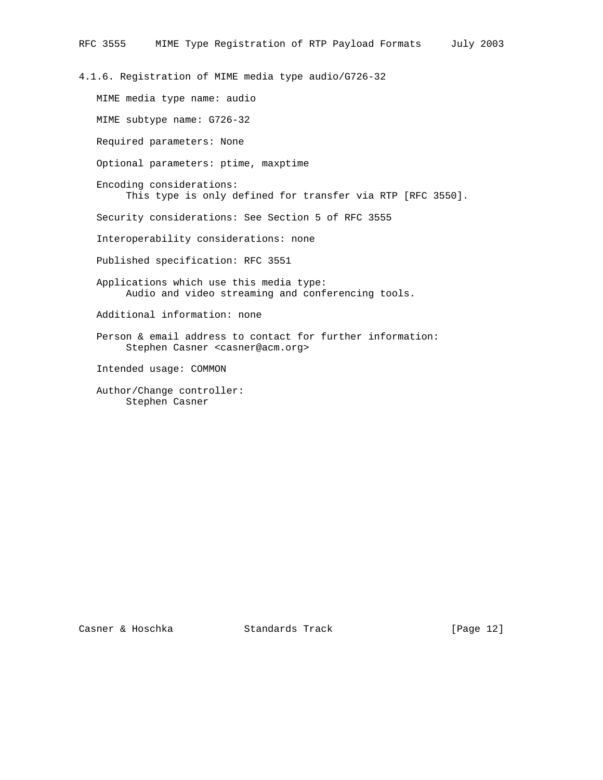4.1.6. Registration of MIME media type audio/G726-32

 MIME media type name: audio MIME subtype name: G726-32 Required parameters: None Optional parameters: ptime, maxptime Encoding considerations: This type is only defined for transfer via RTP [RFC 3550]. Security considerations: See Section 5 of RFC 3555 Interoperability considerations: none Published specification: RFC 3551 Applications which use this media type: Audio and video streaming and conferencing tools. Additional information: none Person & email address to contact for further information: Stephen Casner <casner@acm.org> Intended usage: COMMON Author/Change controller: Stephen Casner

Casner & Hoschka Standards Track [Page 12]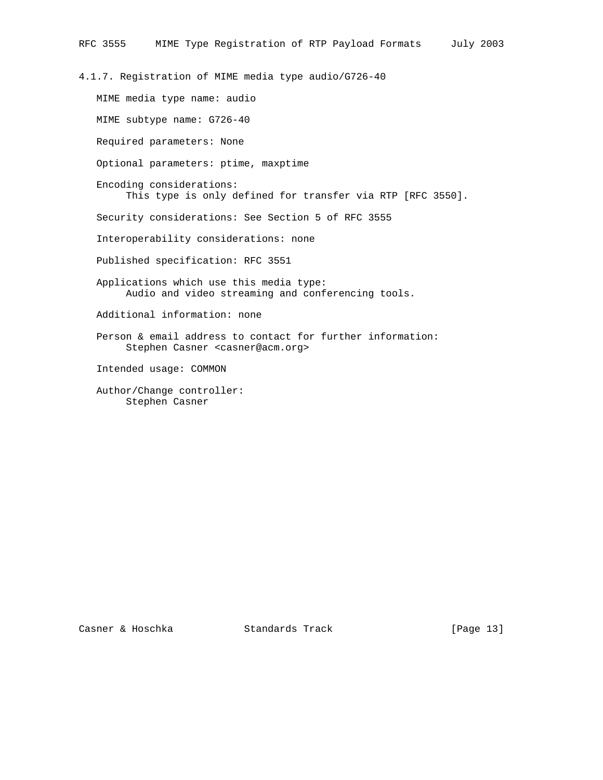4.1.7. Registration of MIME media type audio/G726-40

 MIME media type name: audio MIME subtype name: G726-40 Required parameters: None Optional parameters: ptime, maxptime Encoding considerations: This type is only defined for transfer via RTP [RFC 3550]. Security considerations: See Section 5 of RFC 3555 Interoperability considerations: none Published specification: RFC 3551 Applications which use this media type: Audio and video streaming and conferencing tools. Additional information: none Person & email address to contact for further information: Stephen Casner <casner@acm.org> Intended usage: COMMON Author/Change controller: Stephen Casner

Casner & Hoschka Standards Track [Page 13]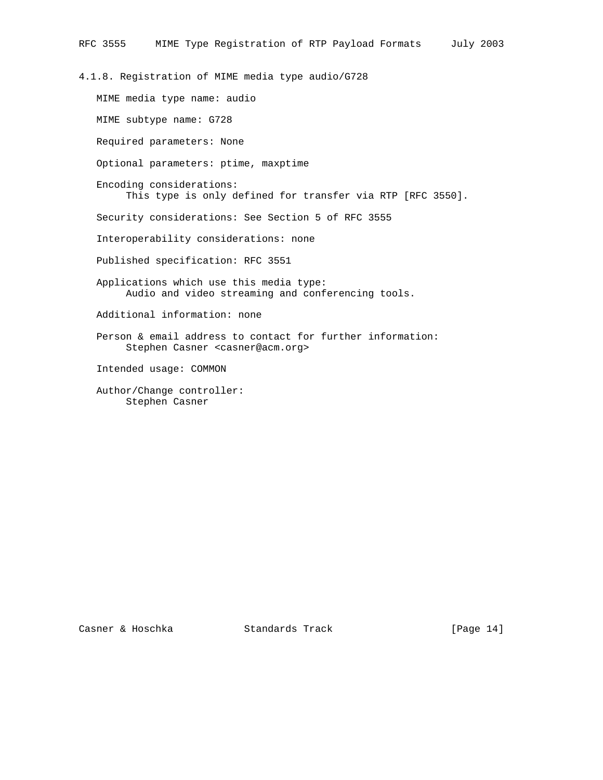4.1.8. Registration of MIME media type audio/G728

 MIME media type name: audio MIME subtype name: G728 Required parameters: None Optional parameters: ptime, maxptime Encoding considerations: This type is only defined for transfer via RTP [RFC 3550]. Security considerations: See Section 5 of RFC 3555 Interoperability considerations: none Published specification: RFC 3551 Applications which use this media type: Audio and video streaming and conferencing tools. Additional information: none Person & email address to contact for further information: Stephen Casner <casner@acm.org> Intended usage: COMMON Author/Change controller: Stephen Casner

Casner & Hoschka Standards Track [Page 14]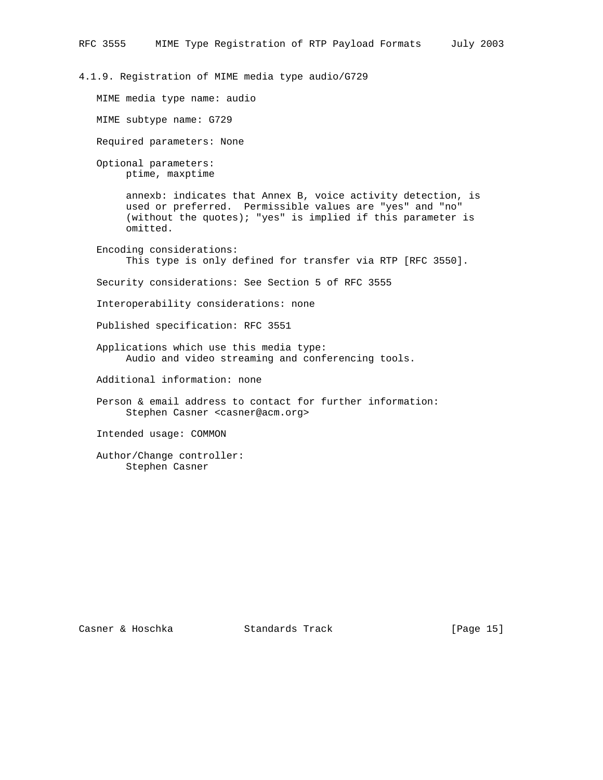4.1.9. Registration of MIME media type audio/G729

MIME media type name: audio

MIME subtype name: G729

Required parameters: None

 Optional parameters: ptime, maxptime

> annexb: indicates that Annex B, voice activity detection, is used or preferred. Permissible values are "yes" and "no" (without the quotes); "yes" is implied if this parameter is omitted.

 Encoding considerations: This type is only defined for transfer via RTP [RFC 3550].

Security considerations: See Section 5 of RFC 3555

Interoperability considerations: none

Published specification: RFC 3551

 Applications which use this media type: Audio and video streaming and conferencing tools.

Additional information: none

 Person & email address to contact for further information: Stephen Casner <casner@acm.org>

Intended usage: COMMON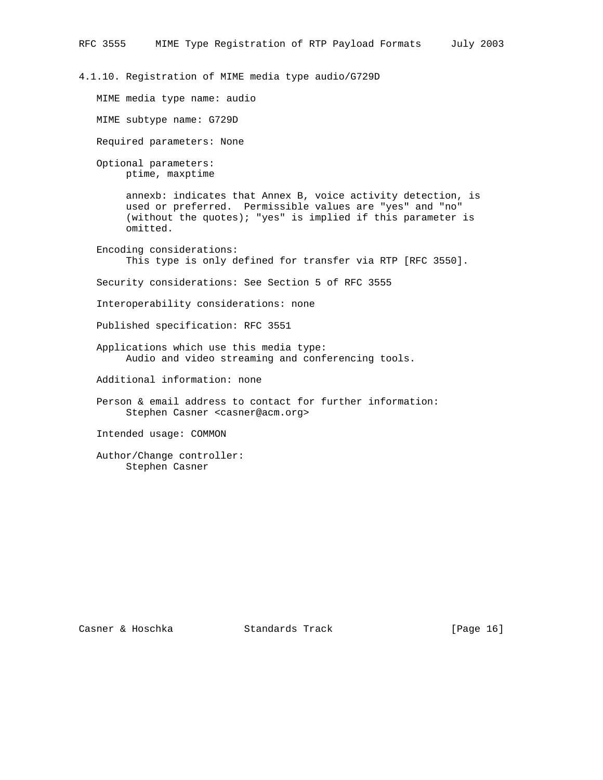4.1.10. Registration of MIME media type audio/G729D

MIME media type name: audio

MIME subtype name: G729D

Required parameters: None

 Optional parameters: ptime, maxptime

> annexb: indicates that Annex B, voice activity detection, is used or preferred. Permissible values are "yes" and "no" (without the quotes); "yes" is implied if this parameter is omitted.

 Encoding considerations: This type is only defined for transfer via RTP [RFC 3550].

Security considerations: See Section 5 of RFC 3555

Interoperability considerations: none

Published specification: RFC 3551

 Applications which use this media type: Audio and video streaming and conferencing tools.

Additional information: none

 Person & email address to contact for further information: Stephen Casner <casner@acm.org>

Intended usage: COMMON

 Author/Change controller: Stephen Casner

Casner & Hoschka Standards Track [Page 16]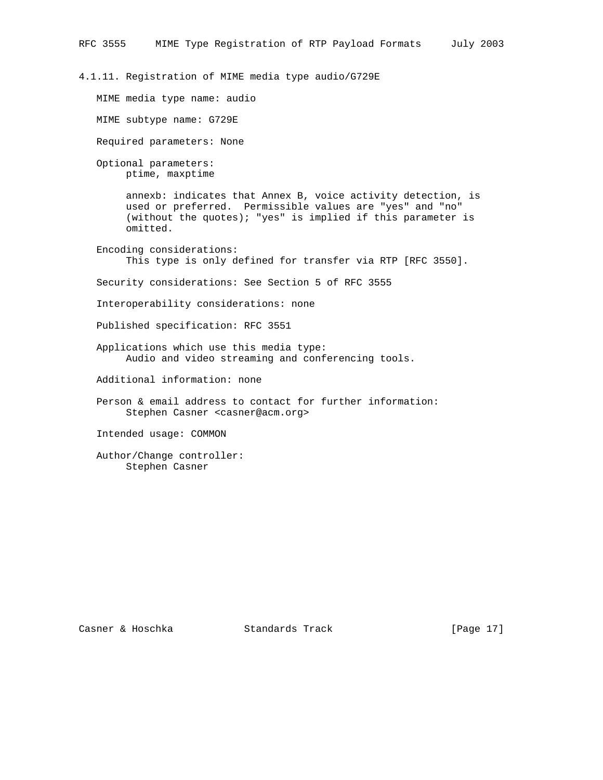4.1.11. Registration of MIME media type audio/G729E

MIME media type name: audio

MIME subtype name: G729E

Required parameters: None

 Optional parameters: ptime, maxptime

> annexb: indicates that Annex B, voice activity detection, is used or preferred. Permissible values are "yes" and "no" (without the quotes); "yes" is implied if this parameter is omitted.

 Encoding considerations: This type is only defined for transfer via RTP [RFC 3550].

Security considerations: See Section 5 of RFC 3555

Interoperability considerations: none

Published specification: RFC 3551

 Applications which use this media type: Audio and video streaming and conferencing tools.

Additional information: none

 Person & email address to contact for further information: Stephen Casner <casner@acm.org>

Intended usage: COMMON

 Author/Change controller: Stephen Casner

Casner & Hoschka Standards Track [Page 17]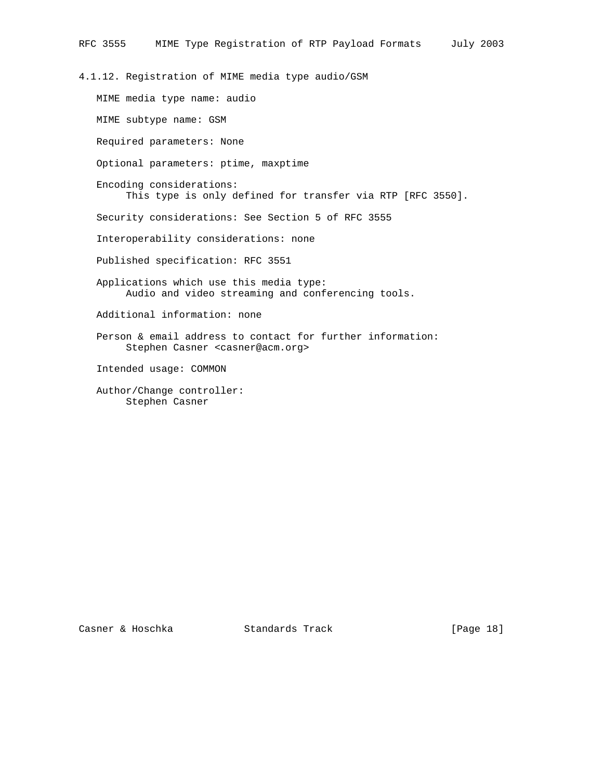4.1.12. Registration of MIME media type audio/GSM MIME media type name: audio MIME subtype name: GSM Required parameters: None Optional parameters: ptime, maxptime Encoding considerations: This type is only defined for transfer via RTP [RFC 3550]. Security considerations: See Section 5 of RFC 3555 Interoperability considerations: none Published specification: RFC 3551 Applications which use this media type: Audio and video streaming and conferencing tools. Additional information: none

 Person & email address to contact for further information: Stephen Casner <casner@acm.org>

Intended usage: COMMON

 Author/Change controller: Stephen Casner

Casner & Hoschka Standards Track [Page 18]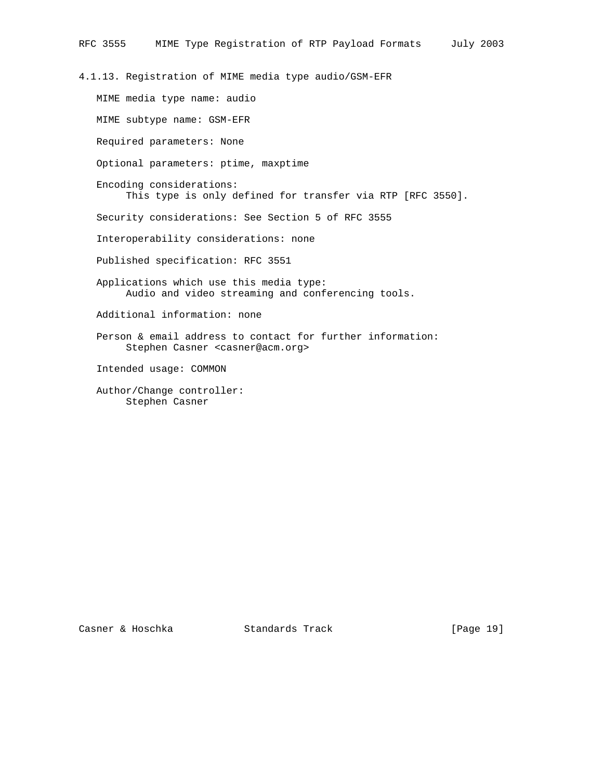4.1.13. Registration of MIME media type audio/GSM-EFR

 MIME media type name: audio MIME subtype name: GSM-EFR Required parameters: None Optional parameters: ptime, maxptime Encoding considerations: This type is only defined for transfer via RTP [RFC 3550]. Security considerations: See Section 5 of RFC 3555 Interoperability considerations: none Published specification: RFC 3551 Applications which use this media type: Audio and video streaming and conferencing tools. Additional information: none Person & email address to contact for further information: Stephen Casner <casner@acm.org> Intended usage: COMMON Author/Change controller: Stephen Casner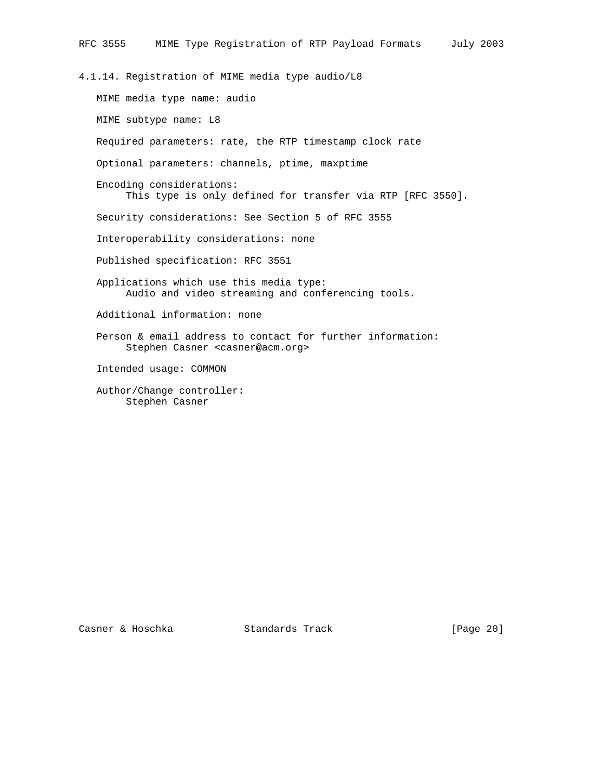4.1.14. Registration of MIME media type audio/L8

 MIME media type name: audio MIME subtype name: L8 Required parameters: rate, the RTP timestamp clock rate Optional parameters: channels, ptime, maxptime Encoding considerations: This type is only defined for transfer via RTP [RFC 3550]. Security considerations: See Section 5 of RFC 3555 Interoperability considerations: none Published specification: RFC 3551 Applications which use this media type: Audio and video streaming and conferencing tools. Additional information: none Person & email address to contact for further information: Stephen Casner <casner@acm.org> Intended usage: COMMON Author/Change controller: Stephen Casner

Casner & Hoschka Standards Track [Page 20]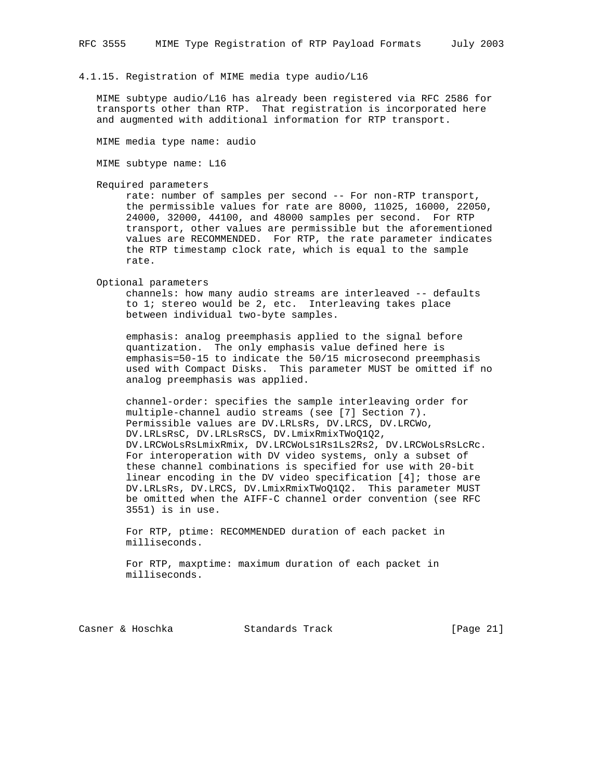#### 4.1.15. Registration of MIME media type audio/L16

 MIME subtype audio/L16 has already been registered via RFC 2586 for transports other than RTP. That registration is incorporated here and augmented with additional information for RTP transport.

MIME media type name: audio

MIME subtype name: L16

Required parameters

 rate: number of samples per second -- For non-RTP transport, the permissible values for rate are 8000, 11025, 16000, 22050, 24000, 32000, 44100, and 48000 samples per second. For RTP transport, other values are permissible but the aforementioned values are RECOMMENDED. For RTP, the rate parameter indicates the RTP timestamp clock rate, which is equal to the sample rate.

Optional parameters

 channels: how many audio streams are interleaved -- defaults to 1; stereo would be 2, etc. Interleaving takes place between individual two-byte samples.

 emphasis: analog preemphasis applied to the signal before quantization. The only emphasis value defined here is emphasis=50-15 to indicate the 50/15 microsecond preemphasis used with Compact Disks. This parameter MUST be omitted if no analog preemphasis was applied.

 channel-order: specifies the sample interleaving order for multiple-channel audio streams (see [7] Section 7). Permissible values are DV.LRLsRs, DV.LRCS, DV.LRCWo, DV.LRLsRsC, DV.LRLsRsCS, DV.LmixRmixTWoQ1Q2, DV.LRCWoLsRsLmixRmix, DV.LRCWoLs1Rs1Ls2Rs2, DV.LRCWoLsRsLcRc. For interoperation with DV video systems, only a subset of these channel combinations is specified for use with 20-bit linear encoding in the DV video specification [4]; those are DV.LRLsRs, DV.LRCS, DV.LmixRmixTWoQ1Q2. This parameter MUST be omitted when the AIFF-C channel order convention (see RFC 3551) is in use.

 For RTP, ptime: RECOMMENDED duration of each packet in milliseconds.

 For RTP, maxptime: maximum duration of each packet in milliseconds.

Casner & Hoschka Standards Track [Page 21]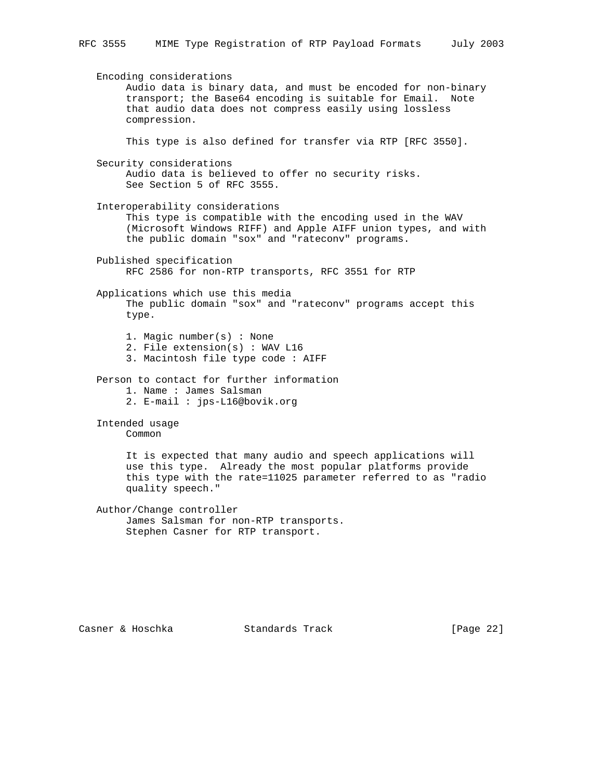Encoding considerations Audio data is binary data, and must be encoded for non-binary transport; the Base64 encoding is suitable for Email. Note that audio data does not compress easily using lossless compression. This type is also defined for transfer via RTP [RFC 3550]. Security considerations Audio data is believed to offer no security risks. See Section 5 of RFC 3555. Interoperability considerations This type is compatible with the encoding used in the WAV (Microsoft Windows RIFF) and Apple AIFF union types, and with the public domain "sox" and "rateconv" programs. Published specification RFC 2586 for non-RTP transports, RFC 3551 for RTP Applications which use this media The public domain "sox" and "rateconv" programs accept this type. 1. Magic number(s) : None 2. File extension(s) : WAV L16 3. Macintosh file type code : AIFF Person to contact for further information 1. Name : James Salsman 2. E-mail : jps-L16@bovik.org Intended usage Common It is expected that many audio and speech applications will use this type. Already the most popular platforms provide this type with the rate=11025 parameter referred to as "radio quality speech." Author/Change controller James Salsman for non-RTP transports. Stephen Casner for RTP transport.

Casner & Hoschka Standards Track [Page 22]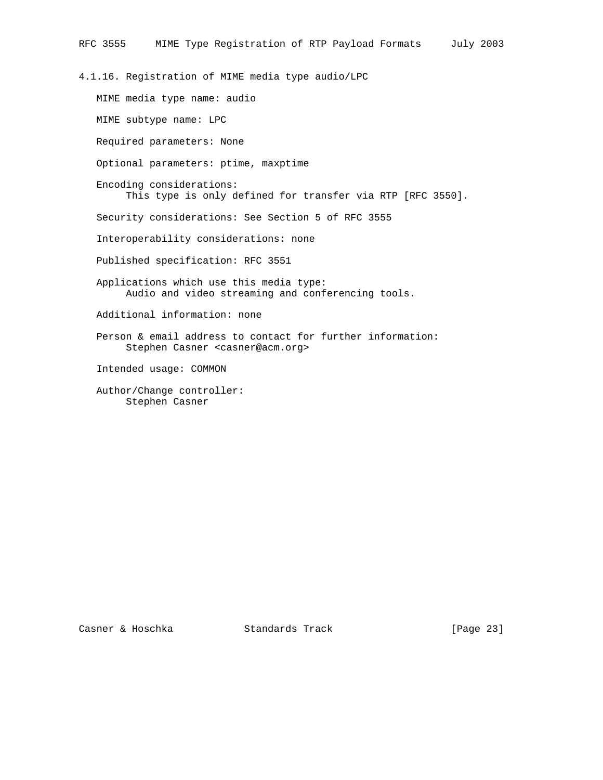4.1.16. Registration of MIME media type audio/LPC

 MIME media type name: audio MIME subtype name: LPC Required parameters: None Optional parameters: ptime, maxptime Encoding considerations: This type is only defined for transfer via RTP [RFC 3550]. Security considerations: See Section 5 of RFC 3555 Interoperability considerations: none Published specification: RFC 3551 Applications which use this media type: Audio and video streaming and conferencing tools. Additional information: none Person & email address to contact for further information: Stephen Casner <casner@acm.org> Intended usage: COMMON Author/Change controller: Stephen Casner

Casner & Hoschka Standards Track [Page 23]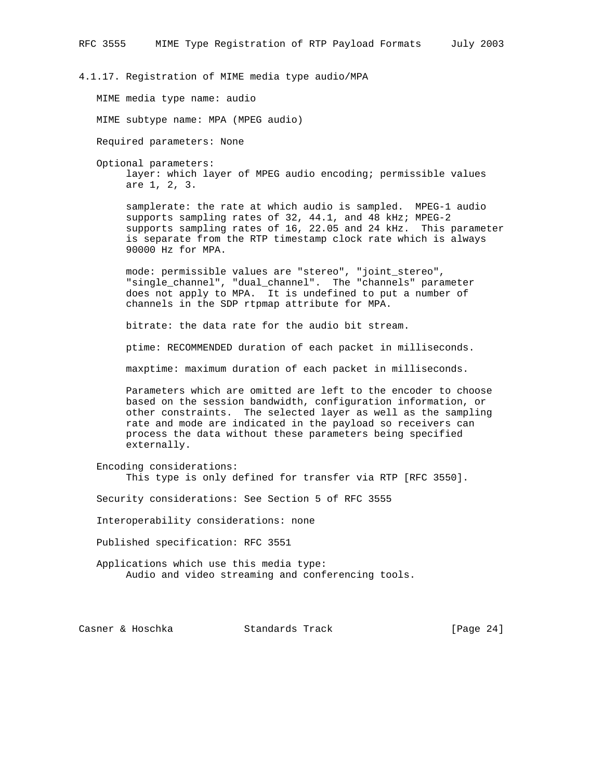4.1.17. Registration of MIME media type audio/MPA

MIME media type name: audio

MIME subtype name: MPA (MPEG audio)

Required parameters: None

Optional parameters:

 layer: which layer of MPEG audio encoding; permissible values are 1, 2, 3.

 samplerate: the rate at which audio is sampled. MPEG-1 audio supports sampling rates of 32, 44.1, and 48 kHz; MPEG-2 supports sampling rates of 16, 22.05 and 24 kHz. This parameter is separate from the RTP timestamp clock rate which is always 90000 Hz for MPA.

 mode: permissible values are "stereo", "joint\_stereo", "single\_channel", "dual\_channel". The "channels" parameter does not apply to MPA. It is undefined to put a number of channels in the SDP rtpmap attribute for MPA.

bitrate: the data rate for the audio bit stream.

ptime: RECOMMENDED duration of each packet in milliseconds.

maxptime: maximum duration of each packet in milliseconds.

 Parameters which are omitted are left to the encoder to choose based on the session bandwidth, configuration information, or other constraints. The selected layer as well as the sampling rate and mode are indicated in the payload so receivers can process the data without these parameters being specified externally.

 Encoding considerations: This type is only defined for transfer via RTP [RFC 3550].

Security considerations: See Section 5 of RFC 3555

Interoperability considerations: none

Published specification: RFC 3551

 Applications which use this media type: Audio and video streaming and conferencing tools.

Casner & Hoschka Standards Track [Page 24]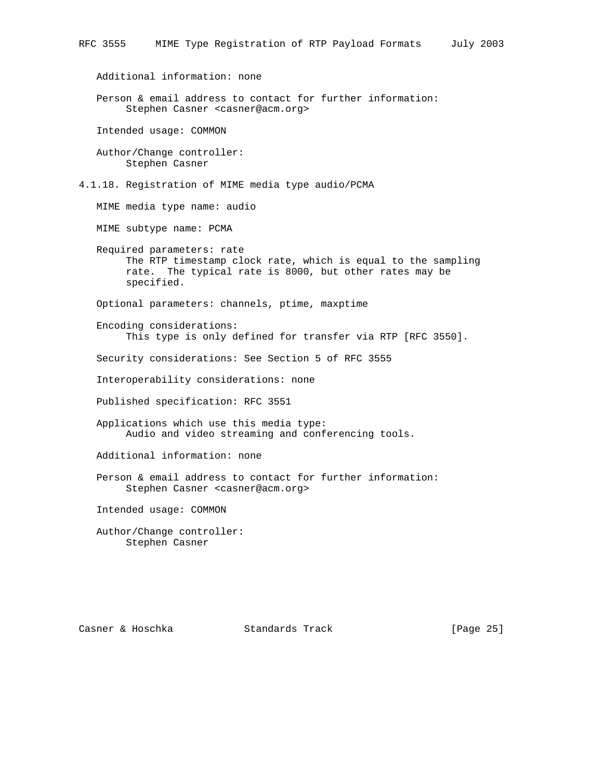Additional information: none

 Person & email address to contact for further information: Stephen Casner <casner@acm.org>

Intended usage: COMMON

 Author/Change controller: Stephen Casner

4.1.18. Registration of MIME media type audio/PCMA

MIME media type name: audio

MIME subtype name: PCMA

 Required parameters: rate The RTP timestamp clock rate, which is equal to the sampling rate. The typical rate is 8000, but other rates may be specified.

Optional parameters: channels, ptime, maxptime

 Encoding considerations: This type is only defined for transfer via RTP [RFC 3550].

Security considerations: See Section 5 of RFC 3555

Interoperability considerations: none

Published specification: RFC 3551

 Applications which use this media type: Audio and video streaming and conferencing tools.

Additional information: none

 Person & email address to contact for further information: Stephen Casner <casner@acm.org>

Intended usage: COMMON

 Author/Change controller: Stephen Casner

Casner & Hoschka Standards Track [Page 25]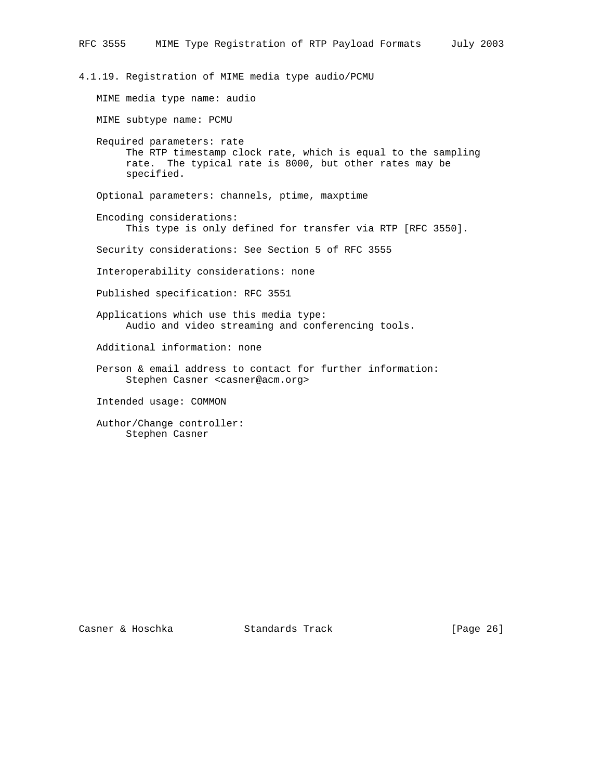4.1.19. Registration of MIME media type audio/PCMU MIME media type name: audio MIME subtype name: PCMU Required parameters: rate The RTP timestamp clock rate, which is equal to the sampling rate. The typical rate is 8000, but other rates may be specified. Optional parameters: channels, ptime, maxptime Encoding considerations: This type is only defined for transfer via RTP [RFC 3550]. Security considerations: See Section 5 of RFC 3555 Interoperability considerations: none Published specification: RFC 3551 Applications which use this media type: Audio and video streaming and conferencing tools. Additional information: none Person & email address to contact for further information: Stephen Casner <casner@acm.org> Intended usage: COMMON Author/Change controller: Stephen Casner

Casner & Hoschka Standards Track [Page 26]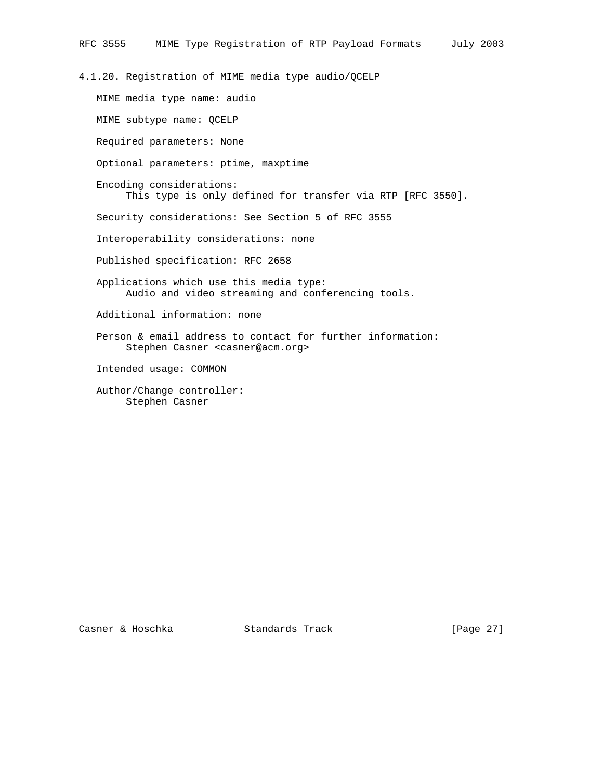4.1.20. Registration of MIME media type audio/QCELP

 MIME media type name: audio MIME subtype name: QCELP Required parameters: None Optional parameters: ptime, maxptime Encoding considerations: This type is only defined for transfer via RTP [RFC 3550]. Security considerations: See Section 5 of RFC 3555 Interoperability considerations: none Published specification: RFC 2658 Applications which use this media type: Audio and video streaming and conferencing tools. Additional information: none Person & email address to contact for further information: Stephen Casner <casner@acm.org> Intended usage: COMMON Author/Change controller: Stephen Casner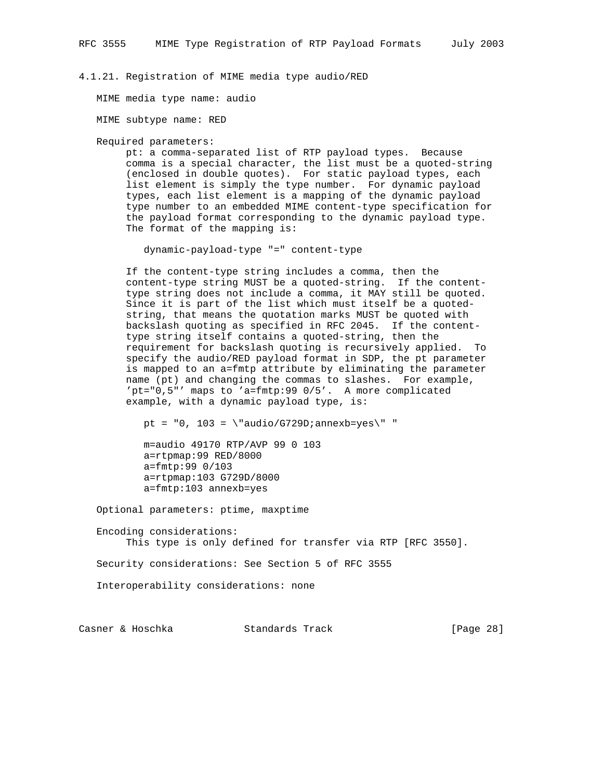#### 4.1.21. Registration of MIME media type audio/RED

MIME media type name: audio

MIME subtype name: RED

Required parameters:

 pt: a comma-separated list of RTP payload types. Because comma is a special character, the list must be a quoted-string (enclosed in double quotes). For static payload types, each list element is simply the type number. For dynamic payload types, each list element is a mapping of the dynamic payload type number to an embedded MIME content-type specification for the payload format corresponding to the dynamic payload type. The format of the mapping is:

dynamic-payload-type "=" content-type

 If the content-type string includes a comma, then the content-type string MUST be a quoted-string. If the content type string does not include a comma, it MAY still be quoted. Since it is part of the list which must itself be a quoted string, that means the quotation marks MUST be quoted with backslash quoting as specified in RFC 2045. If the content type string itself contains a quoted-string, then the requirement for backslash quoting is recursively applied. To specify the audio/RED payload format in SDP, the pt parameter is mapped to an a=fmtp attribute by eliminating the parameter name (pt) and changing the commas to slashes. For example, 'pt="0,5"' maps to 'a=fmtp:99 0/5'. A more complicated example, with a dynamic payload type, is:

pt =  $"0, 103 = \langle "audio/G729D;annexb=yes\\"$ 

 m=audio 49170 RTP/AVP 99 0 103 a=rtpmap:99 RED/8000 a=fmtp:99 0/103 a=rtpmap:103 G729D/8000 a=fmtp:103 annexb=yes

Optional parameters: ptime, maxptime

 Encoding considerations: This type is only defined for transfer via RTP [RFC 3550].

Security considerations: See Section 5 of RFC 3555

Interoperability considerations: none

Casner & Hoschka Standards Track [Page 28]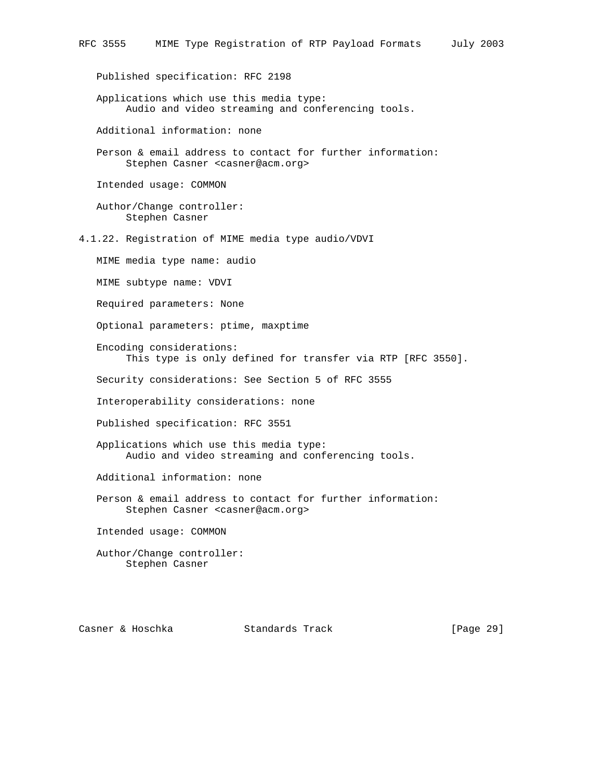Published specification: RFC 2198

 Applications which use this media type: Audio and video streaming and conferencing tools.

Additional information: none

 Person & email address to contact for further information: Stephen Casner <casner@acm.org>

Intended usage: COMMON

 Author/Change controller: Stephen Casner

4.1.22. Registration of MIME media type audio/VDVI

MIME media type name: audio

MIME subtype name: VDVI

Required parameters: None

Optional parameters: ptime, maxptime

 Encoding considerations: This type is only defined for transfer via RTP [RFC 3550].

Security considerations: See Section 5 of RFC 3555

Interoperability considerations: none

Published specification: RFC 3551

 Applications which use this media type: Audio and video streaming and conferencing tools.

Additional information: none

 Person & email address to contact for further information: Stephen Casner <casner@acm.org>

Intended usage: COMMON

 Author/Change controller: Stephen Casner

Casner & Hoschka Standards Track [Page 29]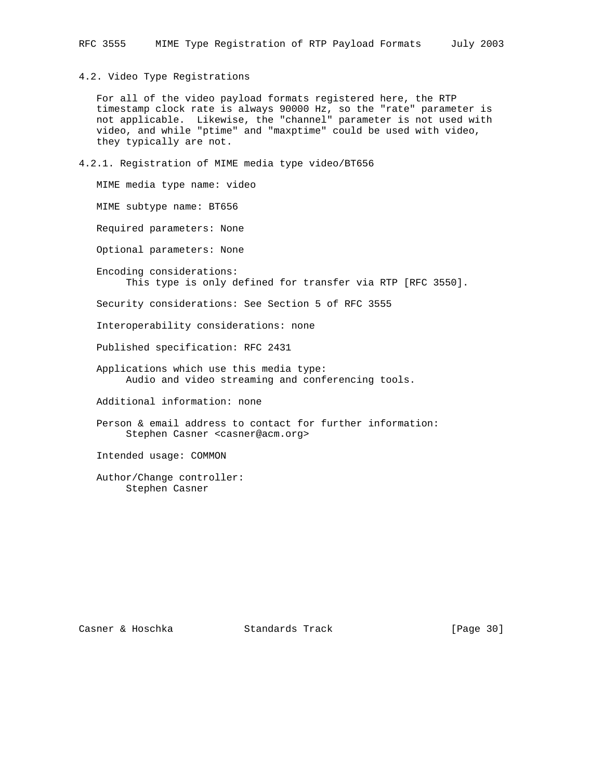4.2. Video Type Registrations

 For all of the video payload formats registered here, the RTP timestamp clock rate is always 90000 Hz, so the "rate" parameter is not applicable. Likewise, the "channel" parameter is not used with video, and while "ptime" and "maxptime" could be used with video, they typically are not.

4.2.1. Registration of MIME media type video/BT656

 MIME media type name: video MIME subtype name: BT656 Required parameters: None Optional parameters: None Encoding considerations: This type is only defined for transfer via RTP [RFC 3550]. Security considerations: See Section 5 of RFC 3555 Interoperability considerations: none Published specification: RFC 2431 Applications which use this media type: Audio and video streaming and conferencing tools. Additional information: none Person & email address to contact for further information: Stephen Casner <casner@acm.org> Intended usage: COMMON

 Author/Change controller: Stephen Casner

Casner & Hoschka Standards Track [Page 30]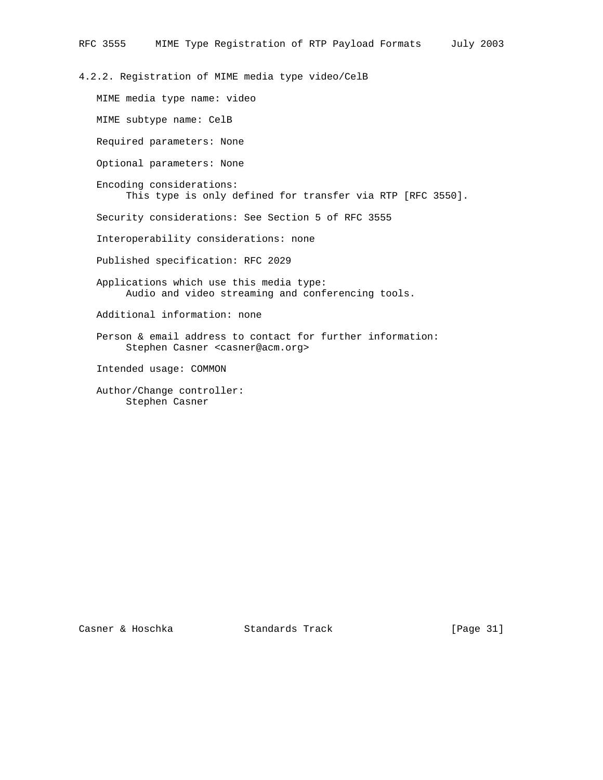4.2.2. Registration of MIME media type video/CelB

 MIME media type name: video MIME subtype name: CelB Required parameters: None Optional parameters: None Encoding considerations: This type is only defined for transfer via RTP [RFC 3550]. Security considerations: See Section 5 of RFC 3555 Interoperability considerations: none Published specification: RFC 2029 Applications which use this media type: Audio and video streaming and conferencing tools. Additional information: none Person & email address to contact for further information: Stephen Casner <casner@acm.org> Intended usage: COMMON Author/Change controller: Stephen Casner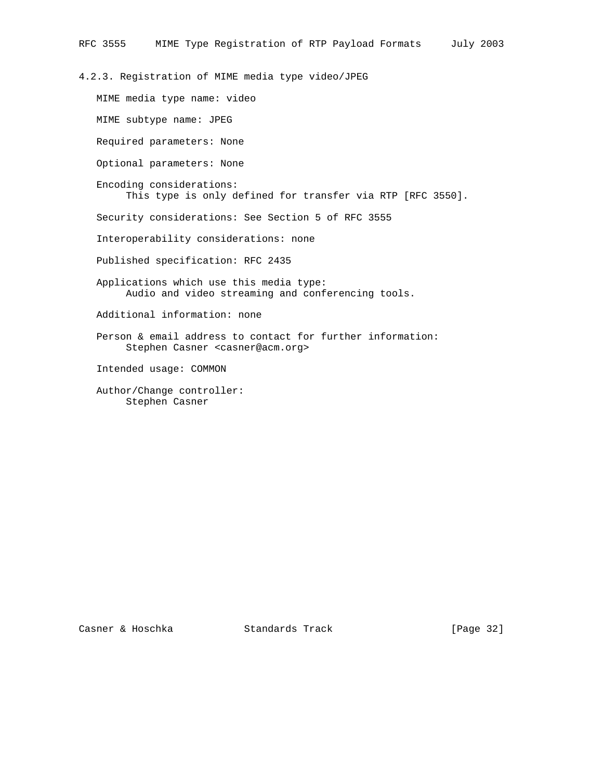4.2.3. Registration of MIME media type video/JPEG

 MIME media type name: video MIME subtype name: JPEG Required parameters: None Optional parameters: None Encoding considerations: This type is only defined for transfer via RTP [RFC 3550]. Security considerations: See Section 5 of RFC 3555 Interoperability considerations: none Published specification: RFC 2435 Applications which use this media type: Audio and video streaming and conferencing tools. Additional information: none Person & email address to contact for further information: Stephen Casner <casner@acm.org> Intended usage: COMMON Author/Change controller: Stephen Casner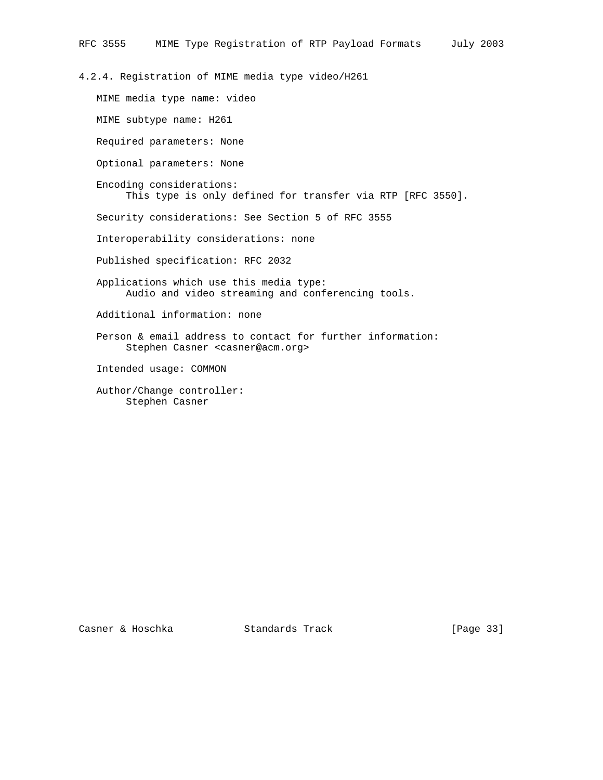4.2.4. Registration of MIME media type video/H261 MIME media type name: video MIME subtype name: H261 Required parameters: None Optional parameters: None Encoding considerations: This type is only defined for transfer via RTP [RFC 3550]. Security considerations: See Section 5 of RFC 3555 Interoperability considerations: none Published specification: RFC 2032 Applications which use this media type: Audio and video streaming and conferencing tools. Additional information: none Person & email address to contact for further information: Stephen Casner <casner@acm.org> Intended usage: COMMON Author/Change controller: Stephen Casner

Casner & Hoschka Standards Track [Page 33]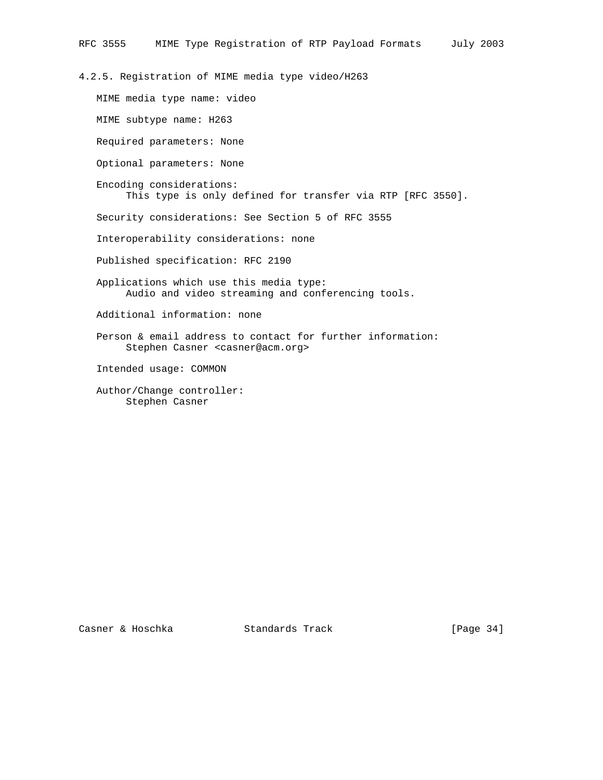4.2.5. Registration of MIME media type video/H263

 MIME media type name: video MIME subtype name: H263 Required parameters: None Optional parameters: None Encoding considerations: This type is only defined for transfer via RTP [RFC 3550]. Security considerations: See Section 5 of RFC 3555 Interoperability considerations: none Published specification: RFC 2190 Applications which use this media type: Audio and video streaming and conferencing tools. Additional information: none Person & email address to contact for further information: Stephen Casner <casner@acm.org> Intended usage: COMMON Author/Change controller: Stephen Casner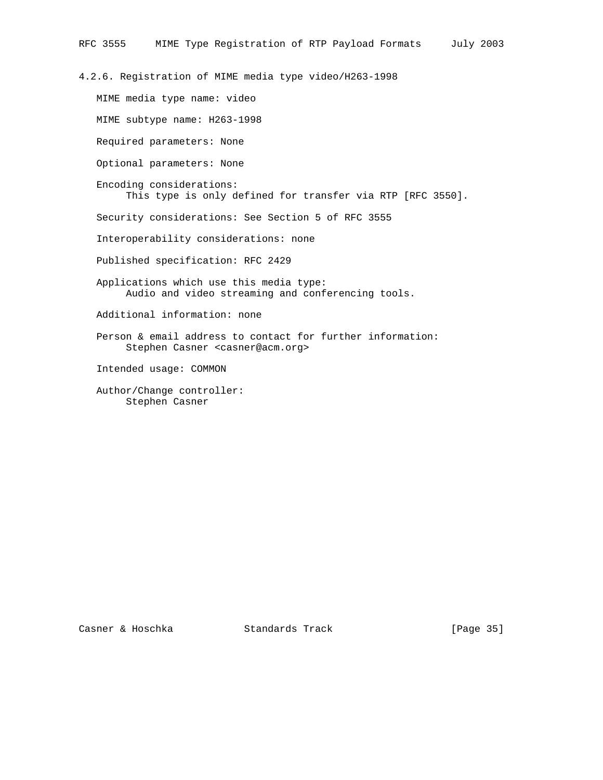4.2.6. Registration of MIME media type video/H263-1998

 MIME media type name: video MIME subtype name: H263-1998 Required parameters: None Optional parameters: None Encoding considerations: This type is only defined for transfer via RTP [RFC 3550]. Security considerations: See Section 5 of RFC 3555 Interoperability considerations: none Published specification: RFC 2429 Applications which use this media type: Audio and video streaming and conferencing tools. Additional information: none Person & email address to contact for further information: Stephen Casner <casner@acm.org> Intended usage: COMMON Author/Change controller: Stephen Casner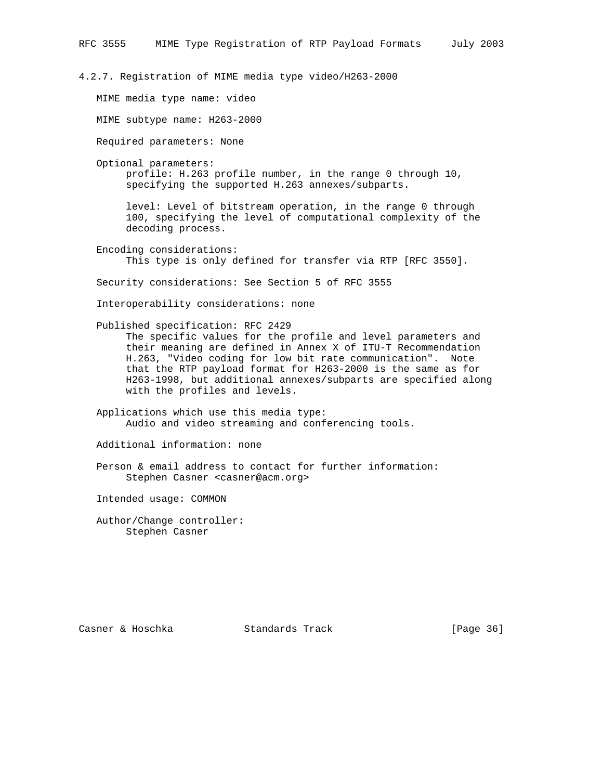4.2.7. Registration of MIME media type video/H263-2000

MIME media type name: video

MIME subtype name: H263-2000

Required parameters: None

Optional parameters:

 profile: H.263 profile number, in the range 0 through 10, specifying the supported H.263 annexes/subparts.

 level: Level of bitstream operation, in the range 0 through 100, specifying the level of computational complexity of the decoding process.

 Encoding considerations: This type is only defined for transfer via RTP [RFC 3550].

Security considerations: See Section 5 of RFC 3555

Interoperability considerations: none

Published specification: RFC 2429

 The specific values for the profile and level parameters and their meaning are defined in Annex X of ITU-T Recommendation H.263, "Video coding for low bit rate communication". Note that the RTP payload format for H263-2000 is the same as for H263-1998, but additional annexes/subparts are specified along with the profiles and levels.

 Applications which use this media type: Audio and video streaming and conferencing tools.

Additional information: none

 Person & email address to contact for further information: Stephen Casner <casner@acm.org>

Intended usage: COMMON

 Author/Change controller: Stephen Casner

Casner & Hoschka Standards Track [Page 36]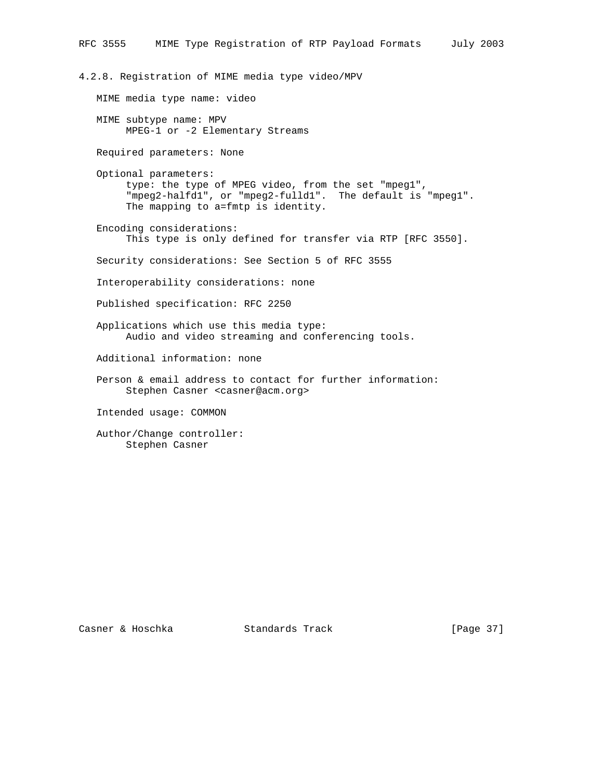4.2.8. Registration of MIME media type video/MPV

MIME media type name: video

 MIME subtype name: MPV MPEG-1 or -2 Elementary Streams

Required parameters: None

 Optional parameters: type: the type of MPEG video, from the set "mpeg1", "mpeg2-halfd1", or "mpeg2-fulld1". The default is "mpeg1". The mapping to a=fmtp is identity.

 Encoding considerations: This type is only defined for transfer via RTP [RFC 3550].

Security considerations: See Section 5 of RFC 3555

Interoperability considerations: none

Published specification: RFC 2250

 Applications which use this media type: Audio and video streaming and conferencing tools.

Additional information: none

 Person & email address to contact for further information: Stephen Casner <casner@acm.org>

Intended usage: COMMON

 Author/Change controller: Stephen Casner

Casner & Hoschka Standards Track [Page 37]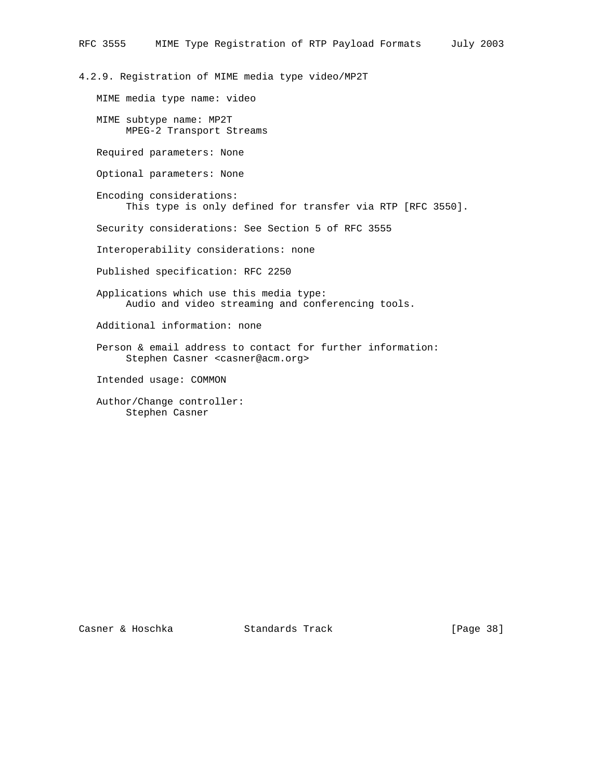4.2.9. Registration of MIME media type video/MP2T

MIME media type name: video

 MIME subtype name: MP2T MPEG-2 Transport Streams

Required parameters: None

Optional parameters: None

 Encoding considerations: This type is only defined for transfer via RTP [RFC 3550].

Security considerations: See Section 5 of RFC 3555

Interoperability considerations: none

Published specification: RFC 2250

 Applications which use this media type: Audio and video streaming and conferencing tools.

Additional information: none

 Person & email address to contact for further information: Stephen Casner <casner@acm.org>

Intended usage: COMMON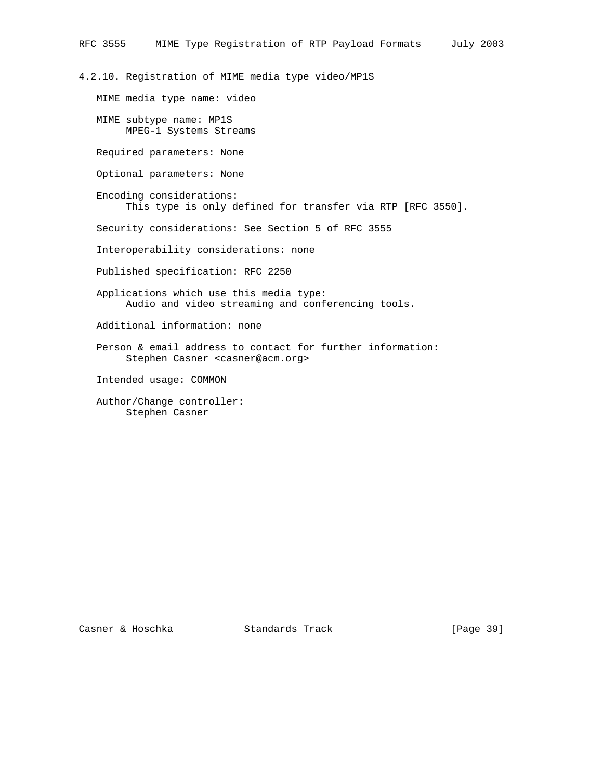4.2.10. Registration of MIME media type video/MP1S

MIME media type name: video

 MIME subtype name: MP1S MPEG-1 Systems Streams

Required parameters: None

Optional parameters: None

 Encoding considerations: This type is only defined for transfer via RTP [RFC 3550].

Security considerations: See Section 5 of RFC 3555

Interoperability considerations: none

Published specification: RFC 2250

 Applications which use this media type: Audio and video streaming and conferencing tools.

Additional information: none

 Person & email address to contact for further information: Stephen Casner <casner@acm.org>

Intended usage: COMMON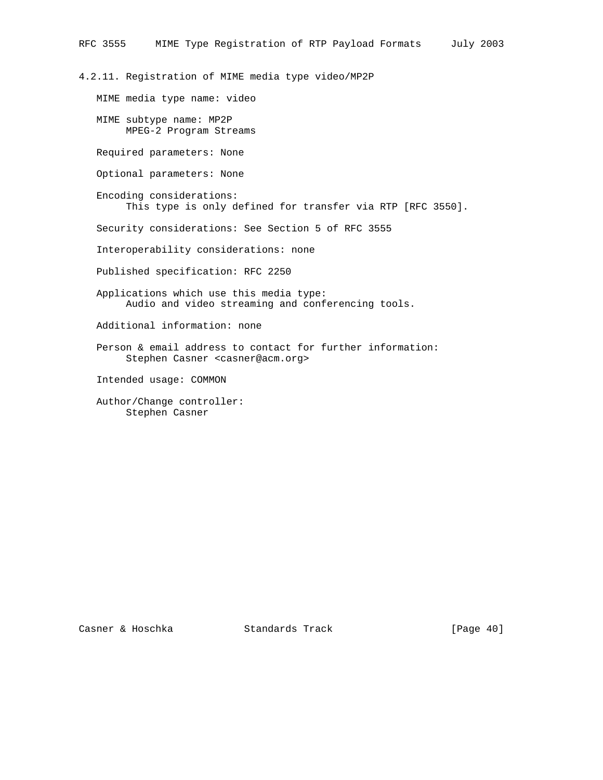4.2.11. Registration of MIME media type video/MP2P

MIME media type name: video

 MIME subtype name: MP2P MPEG-2 Program Streams

Required parameters: None

Optional parameters: None

 Encoding considerations: This type is only defined for transfer via RTP [RFC 3550].

Security considerations: See Section 5 of RFC 3555

Interoperability considerations: none

Published specification: RFC 2250

- Applications which use this media type: Audio and video streaming and conferencing tools.
- Additional information: none
- Person & email address to contact for further information: Stephen Casner <casner@acm.org>

Intended usage: COMMON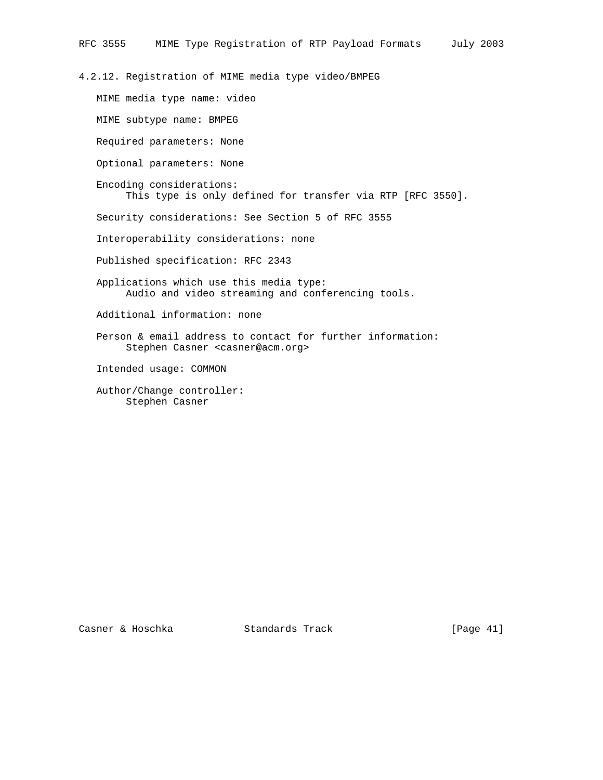4.2.12. Registration of MIME media type video/BMPEG

 MIME media type name: video MIME subtype name: BMPEG Required parameters: None Optional parameters: None Encoding considerations: This type is only defined for transfer via RTP [RFC 3550]. Security considerations: See Section 5 of RFC 3555 Interoperability considerations: none Published specification: RFC 2343 Applications which use this media type: Audio and video streaming and conferencing tools. Additional information: none Person & email address to contact for further information: Stephen Casner <casner@acm.org> Intended usage: COMMON Author/Change controller: Stephen Casner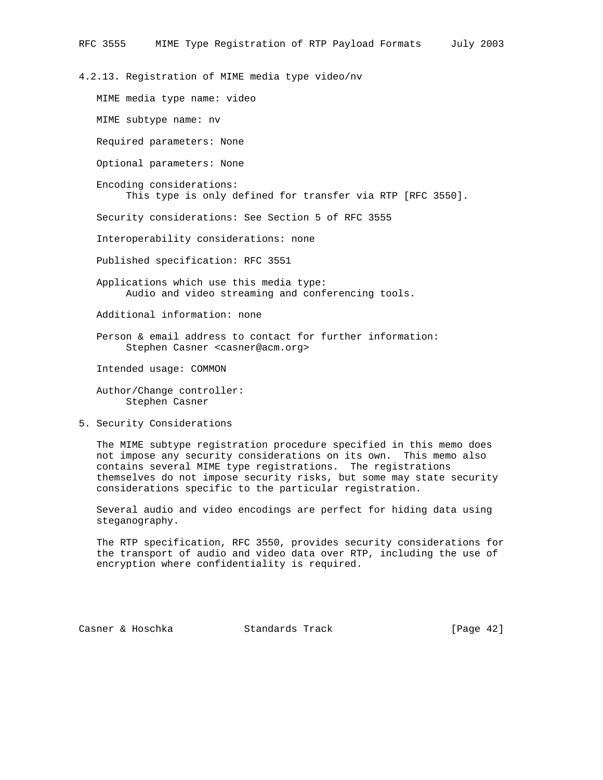4.2.13. Registration of MIME media type video/nv

MIME media type name: video

MIME subtype name: nv

Required parameters: None

Optional parameters: None

 Encoding considerations: This type is only defined for transfer via RTP [RFC 3550].

Security considerations: See Section 5 of RFC 3555

Interoperability considerations: none

Published specification: RFC 3551

 Applications which use this media type: Audio and video streaming and conferencing tools.

Additional information: none

 Person & email address to contact for further information: Stephen Casner <casner@acm.org>

Intended usage: COMMON

 Author/Change controller: Stephen Casner

5. Security Considerations

 The MIME subtype registration procedure specified in this memo does not impose any security considerations on its own. This memo also contains several MIME type registrations. The registrations themselves do not impose security risks, but some may state security considerations specific to the particular registration.

 Several audio and video encodings are perfect for hiding data using steganography.

 The RTP specification, RFC 3550, provides security considerations for the transport of audio and video data over RTP, including the use of encryption where confidentiality is required.

Casner & Hoschka Standards Track [Page 42]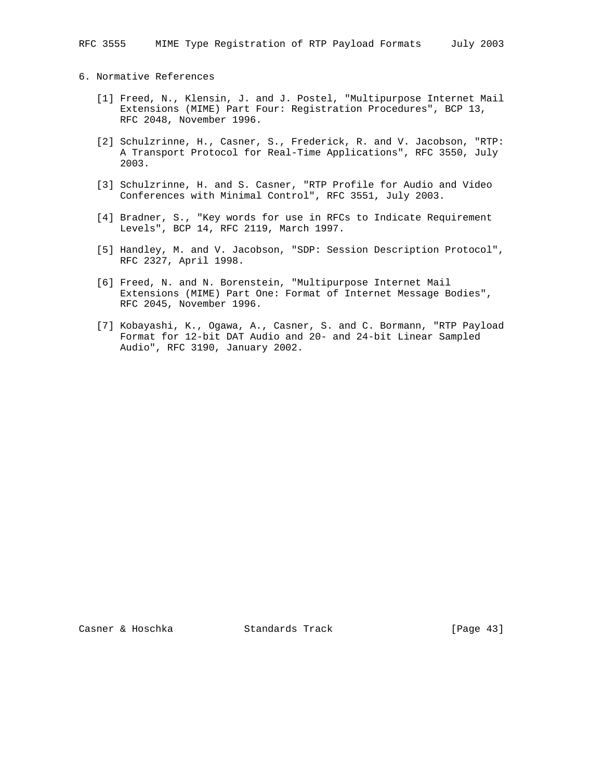# 6. Normative References

- [1] Freed, N., Klensin, J. and J. Postel, "Multipurpose Internet Mail Extensions (MIME) Part Four: Registration Procedures", BCP 13, RFC 2048, November 1996.
- [2] Schulzrinne, H., Casner, S., Frederick, R. and V. Jacobson, "RTP: A Transport Protocol for Real-Time Applications", RFC 3550, July 2003.
- [3] Schulzrinne, H. and S. Casner, "RTP Profile for Audio and Video Conferences with Minimal Control", RFC 3551, July 2003.
- [4] Bradner, S., "Key words for use in RFCs to Indicate Requirement Levels", BCP 14, RFC 2119, March 1997.
- [5] Handley, M. and V. Jacobson, "SDP: Session Description Protocol", RFC 2327, April 1998.
- [6] Freed, N. and N. Borenstein, "Multipurpose Internet Mail Extensions (MIME) Part One: Format of Internet Message Bodies", RFC 2045, November 1996.
- [7] Kobayashi, K., Ogawa, A., Casner, S. and C. Bormann, "RTP Payload Format for 12-bit DAT Audio and 20- and 24-bit Linear Sampled Audio", RFC 3190, January 2002.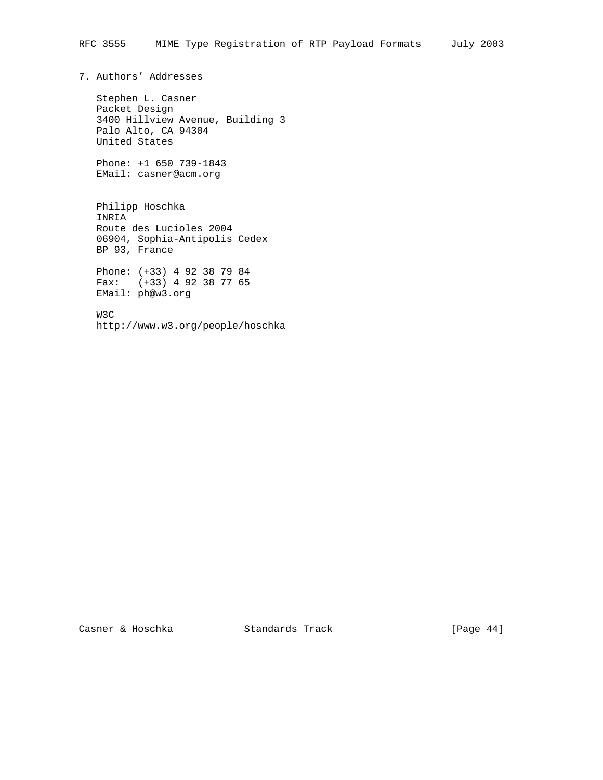7. Authors' Addresses

 Stephen L. Casner Packet Design 3400 Hillview Avenue, Building 3 Palo Alto, CA 94304 United States

 Phone: +1 650 739-1843 EMail: casner@acm.org

 Philipp Hoschka INRIA Route des Lucioles 2004 06904, Sophia-Antipolis Cedex BP 93, France

 Phone: (+33) 4 92 38 79 84 Fax: (+33) 4 92 38 77 65 EMail: ph@w3.org

 W3C http://www.w3.org/people/hoschka

Casner & Hoschka Standards Track [Page 44]